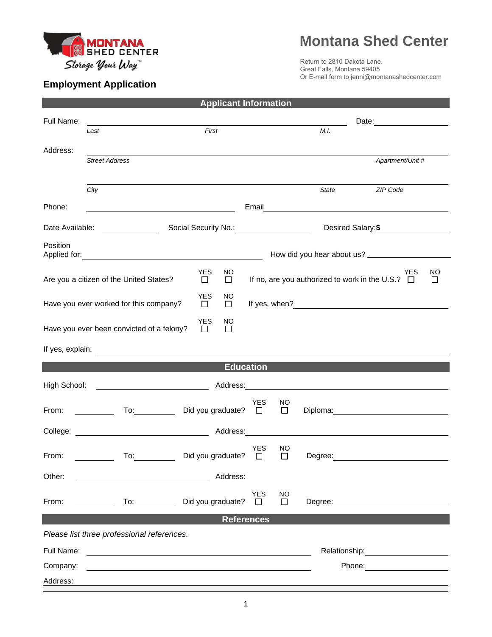

## **Montana Shed Center**

Return to 2810 Dakota Lane. Great Falls, Montana 59405 Or E-mail form to jenni@montanashedcenter.com

## **Employment Application**

| <b>Applicant Information</b>                                                                                                                           |                                                                                                                                                                                                                                |                                                           |                      |              |                                                                                                                                                                                                                               |  |  |  |
|--------------------------------------------------------------------------------------------------------------------------------------------------------|--------------------------------------------------------------------------------------------------------------------------------------------------------------------------------------------------------------------------------|-----------------------------------------------------------|----------------------|--------------|-------------------------------------------------------------------------------------------------------------------------------------------------------------------------------------------------------------------------------|--|--|--|
| Full Name:                                                                                                                                             |                                                                                                                                                                                                                                |                                                           |                      | Date: 2008   |                                                                                                                                                                                                                               |  |  |  |
|                                                                                                                                                        | First<br>Last                                                                                                                                                                                                                  |                                                           |                      | M.I.         |                                                                                                                                                                                                                               |  |  |  |
| Address:                                                                                                                                               |                                                                                                                                                                                                                                |                                                           |                      |              |                                                                                                                                                                                                                               |  |  |  |
|                                                                                                                                                        | <b>Street Address</b>                                                                                                                                                                                                          |                                                           |                      |              | Apartment/Unit #                                                                                                                                                                                                              |  |  |  |
|                                                                                                                                                        |                                                                                                                                                                                                                                |                                                           |                      |              |                                                                                                                                                                                                                               |  |  |  |
|                                                                                                                                                        | City                                                                                                                                                                                                                           |                                                           |                      |              | State<br>ZIP Code                                                                                                                                                                                                             |  |  |  |
| Phone:                                                                                                                                                 |                                                                                                                                                                                                                                | <u> 1989 - Johann Barbara, martin amerikan basar da</u>   |                      |              |                                                                                                                                                                                                                               |  |  |  |
|                                                                                                                                                        | Date Available: <u>[19]</u>                                                                                                                                                                                                    | Social Security No.: Social Security No.:                 |                      |              | Desired Salary: \$                                                                                                                                                                                                            |  |  |  |
| Position                                                                                                                                               |                                                                                                                                                                                                                                |                                                           |                      |              |                                                                                                                                                                                                                               |  |  |  |
| How did you hear about us?                                                                                                                             |                                                                                                                                                                                                                                |                                                           |                      |              |                                                                                                                                                                                                                               |  |  |  |
| <b>YES</b><br><b>YES</b><br>NO<br>If no, are you authorized to work in the U.S.? $\Box$<br>Are you a citizen of the United States?<br>$\Box$<br>$\Box$ |                                                                                                                                                                                                                                |                                                           |                      |              |                                                                                                                                                                                                                               |  |  |  |
| <b>YES</b><br>NO.<br>Have you ever worked for this company?<br>$\Box$<br>□                                                                             |                                                                                                                                                                                                                                |                                                           |                      |              |                                                                                                                                                                                                                               |  |  |  |
| <b>YES</b><br>NO<br>Have you ever been convicted of a felony?<br>$\Box$<br>⊔                                                                           |                                                                                                                                                                                                                                |                                                           |                      |              |                                                                                                                                                                                                                               |  |  |  |
|                                                                                                                                                        |                                                                                                                                                                                                                                |                                                           |                      |              |                                                                                                                                                                                                                               |  |  |  |
| <b>Education</b>                                                                                                                                       |                                                                                                                                                                                                                                |                                                           |                      |              |                                                                                                                                                                                                                               |  |  |  |
| High School:                                                                                                                                           |                                                                                                                                                                                                                                |                                                           |                      |              |                                                                                                                                                                                                                               |  |  |  |
|                                                                                                                                                        |                                                                                                                                                                                                                                |                                                           |                      |              |                                                                                                                                                                                                                               |  |  |  |
| From:                                                                                                                                                  | To: the contract of the contract of the contract of the contract of the contract of the contract of the contract of the contract of the contract of the contract of the contract of the contract of the contract of the contra | Did you graduate? $\square$                               | <b>YES</b>           | NO<br>$\Box$ | Diploma: 2000 Company Company Company Company Company Company Company Company Company Company Company Company Company Company Company Company Company Company Company Company Company Company Company Company Company Company |  |  |  |
|                                                                                                                                                        |                                                                                                                                                                                                                                |                                                           |                      |              | <u> 1980 - Johann Harry Barn, mars ar breist fan de Fryske kommunent fan de Fryske kommunent fan de Fryske kommun</u>                                                                                                         |  |  |  |
| From:                                                                                                                                                  |                                                                                                                                                                                                                                | To: Did you graduate?                                     | <b>YES</b><br>$\Box$ | NO<br>$\Box$ | Dearee:                                                                                                                                                                                                                       |  |  |  |
| Other:                                                                                                                                                 |                                                                                                                                                                                                                                | Address:                                                  |                      |              |                                                                                                                                                                                                                               |  |  |  |
|                                                                                                                                                        | <u> 1989 - Johann Barnett, fransk politik (d. 1989)</u>                                                                                                                                                                        |                                                           |                      |              |                                                                                                                                                                                                                               |  |  |  |
| From:                                                                                                                                                  |                                                                                                                                                                                                                                | To: Did you graduate?                                     | YES<br>$\Box$        | NO<br>$\Box$ |                                                                                                                                                                                                                               |  |  |  |
| <b>References</b>                                                                                                                                      |                                                                                                                                                                                                                                |                                                           |                      |              |                                                                                                                                                                                                                               |  |  |  |
| Please list three professional references.                                                                                                             |                                                                                                                                                                                                                                |                                                           |                      |              |                                                                                                                                                                                                                               |  |  |  |
| Full Name:                                                                                                                                             |                                                                                                                                                                                                                                | <u> 1989 - John Stein, Amerikaansk politiker (* 1918)</u> |                      |              | Relationship: example and all the set of the set of the set of the set of the set of the set of the set of the                                                                                                                |  |  |  |
| Company:                                                                                                                                               |                                                                                                                                                                                                                                |                                                           |                      |              | Phone: <u>_______________</u>                                                                                                                                                                                                 |  |  |  |
| Address:                                                                                                                                               |                                                                                                                                                                                                                                |                                                           |                      |              |                                                                                                                                                                                                                               |  |  |  |